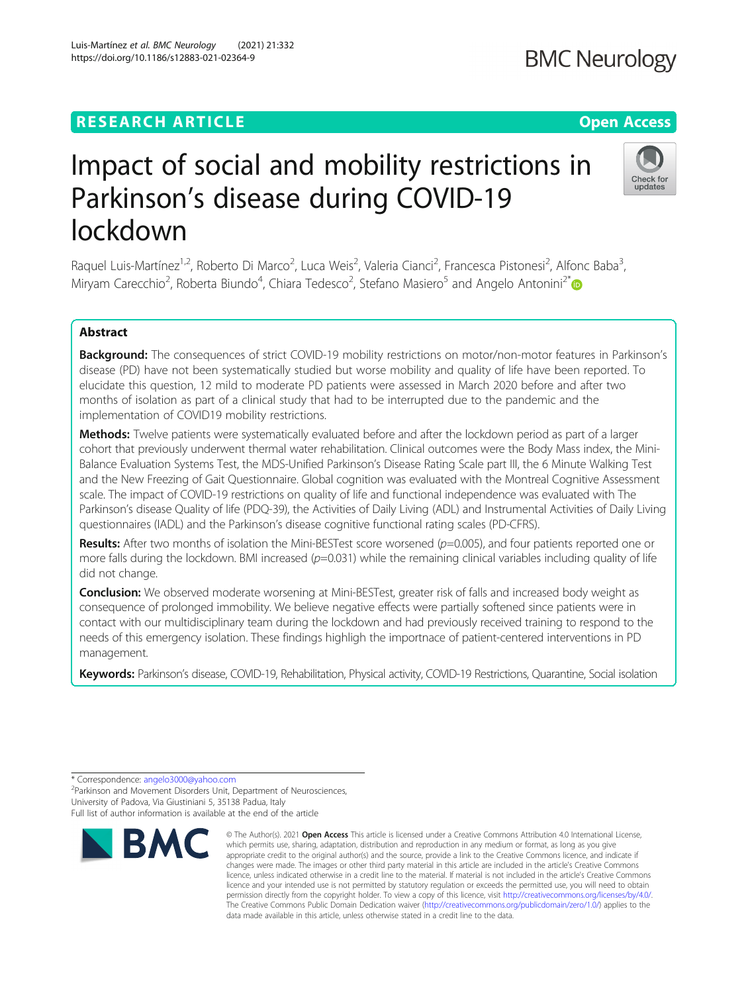# **RESEARCH ARTICLE Example 2014 12:30 The Contract of Contract ACCESS**

# Impact of social and mobility restrictions in Parkinson's disease during COVID-19 lockdown

Raquel Luis-Martínez<sup>1,2</sup>, Roberto Di Marco<sup>2</sup>, Luca Weis<sup>2</sup>, Valeria Cianci<sup>2</sup>, Francesca Pistonesi<sup>2</sup>, Alfonc Baba<sup>3</sup> , Miryam Carecchio<sup>2</sup>, Roberta Biundo<sup>4</sup>, Chiara Tedesco<sup>2</sup>, Stefano Masiero<sup>5</sup> and Angelo Antonini<sup>2\*</sup>

# Abstract

Background: The consequences of strict COVID-19 mobility restrictions on motor/non-motor features in Parkinson's disease (PD) have not been systematically studied but worse mobility and quality of life have been reported. To elucidate this question, 12 mild to moderate PD patients were assessed in March 2020 before and after two months of isolation as part of a clinical study that had to be interrupted due to the pandemic and the implementation of COVID19 mobility restrictions.

Methods: Twelve patients were systematically evaluated before and after the lockdown period as part of a larger cohort that previously underwent thermal water rehabilitation. Clinical outcomes were the Body Mass index, the Mini-Balance Evaluation Systems Test, the MDS-Unified Parkinson's Disease Rating Scale part III, the 6 Minute Walking Test and the New Freezing of Gait Questionnaire. Global cognition was evaluated with the Montreal Cognitive Assessment scale. The impact of COVID-19 restrictions on quality of life and functional independence was evaluated with The Parkinson's disease Quality of life (PDQ-39), the Activities of Daily Living (ADL) and Instrumental Activities of Daily Living questionnaires (IADL) and the Parkinson's disease cognitive functional rating scales (PD-CFRS).

Results: After two months of isolation the Mini-BESTest score worsened ( $p=0.005$ ), and four patients reported one or more falls during the lockdown. BMI increased  $(p=0.031)$  while the remaining clinical variables including quality of life did not change.

**Conclusion:** We observed moderate worsening at Mini-BESTest, greater risk of falls and increased body weight as consequence of prolonged immobility. We believe negative effects were partially softened since patients were in contact with our multidisciplinary team during the lockdown and had previously received training to respond to the needs of this emergency isolation. These findings highligh the importnace of patient-centered interventions in PD management.

Keywords: Parkinson's disease, COVID-19, Rehabilitation, Physical activity, COVID-19 Restrictions, Quarantine, Social isolation









<sup>\*</sup> Correspondence: [angelo3000@yahoo.com](mailto:angelo3000@yahoo.com) <sup>2</sup>

<sup>&</sup>lt;sup>2</sup>Parkinson and Movement Disorders Unit, Department of Neurosciences, University of Padova, Via Giustiniani 5, 35138 Padua, Italy Full list of author information is available at the end of the article

Check for undates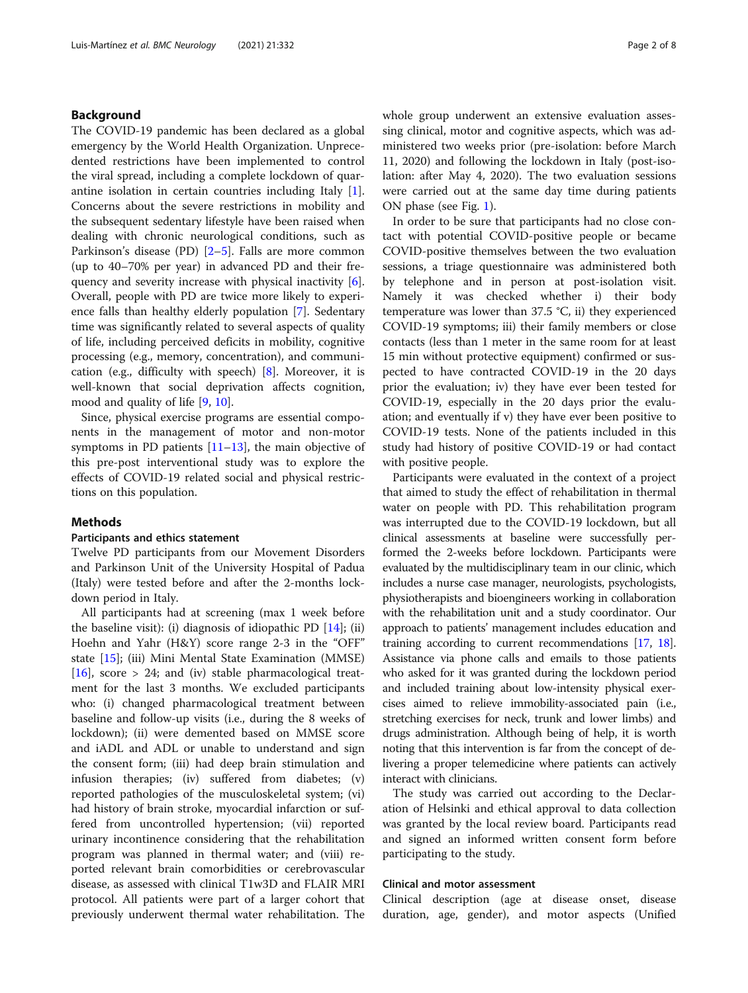### Background

The COVID-19 pandemic has been declared as a global emergency by the World Health Organization. Unprecedented restrictions have been implemented to control the viral spread, including a complete lockdown of quarantine isolation in certain countries including Italy [\[1](#page-6-0)]. Concerns about the severe restrictions in mobility and the subsequent sedentary lifestyle have been raised when dealing with chronic neurological conditions, such as Parkinson's disease (PD) [\[2](#page-6-0)–[5](#page-6-0)]. Falls are more common (up to 40–70% per year) in advanced PD and their frequency and severity increase with physical inactivity [\[6](#page-6-0)]. Overall, people with PD are twice more likely to experience falls than healthy elderly population [\[7](#page-6-0)]. Sedentary time was significantly related to several aspects of quality of life, including perceived deficits in mobility, cognitive processing (e.g., memory, concentration), and communication (e.g., difficulty with speech) [[8\]](#page-6-0). Moreover, it is well-known that social deprivation affects cognition, mood and quality of life [\[9](#page-6-0), [10\]](#page-6-0).

Since, physical exercise programs are essential components in the management of motor and non-motor symptoms in PD patients  $[11–13]$  $[11–13]$  $[11–13]$ , the main objective of this pre-post interventional study was to explore the effects of COVID-19 related social and physical restrictions on this population.

#### Methods

#### Participants and ethics statement

Twelve PD participants from our Movement Disorders and Parkinson Unit of the University Hospital of Padua (Italy) were tested before and after the 2-months lockdown period in Italy.

All participants had at screening (max 1 week before the baseline visit): (i) diagnosis of idiopathic PD  $[14]$  $[14]$ ; (ii) Hoehn and Yahr (H&Y) score range 2-3 in the "OFF" state [[15](#page-6-0)]; (iii) Mini Mental State Examination (MMSE) [[16\]](#page-6-0), score  $> 24$ ; and (iv) stable pharmacological treatment for the last 3 months. We excluded participants who: (i) changed pharmacological treatment between baseline and follow-up visits (i.e., during the 8 weeks of lockdown); (ii) were demented based on MMSE score and iADL and ADL or unable to understand and sign the consent form; (iii) had deep brain stimulation and infusion therapies; (iv) suffered from diabetes; (v) reported pathologies of the musculoskeletal system; (vi) had history of brain stroke, myocardial infarction or suffered from uncontrolled hypertension; (vii) reported urinary incontinence considering that the rehabilitation program was planned in thermal water; and (viii) reported relevant brain comorbidities or cerebrovascular disease, as assessed with clinical T1w3D and FLAIR MRI protocol. All patients were part of a larger cohort that previously underwent thermal water rehabilitation. The whole group underwent an extensive evaluation assessing clinical, motor and cognitive aspects, which was administered two weeks prior (pre-isolation: before March 11, 2020) and following the lockdown in Italy (post-isolation: after May 4, 2020). The two evaluation sessions were carried out at the same day time during patients ON phase (see Fig. [1\)](#page-2-0).

In order to be sure that participants had no close contact with potential COVID-positive people or became COVID-positive themselves between the two evaluation sessions, a triage questionnaire was administered both by telephone and in person at post-isolation visit. Namely it was checked whether i) their body temperature was lower than 37.5 °C, ii) they experienced COVID-19 symptoms; iii) their family members or close contacts (less than 1 meter in the same room for at least 15 min without protective equipment) confirmed or suspected to have contracted COVID-19 in the 20 days prior the evaluation; iv) they have ever been tested for COVID-19, especially in the 20 days prior the evaluation; and eventually if v) they have ever been positive to COVID-19 tests. None of the patients included in this study had history of positive COVID-19 or had contact with positive people.

Participants were evaluated in the context of a project that aimed to study the effect of rehabilitation in thermal water on people with PD. This rehabilitation program was interrupted due to the COVID-19 lockdown, but all clinical assessments at baseline were successfully performed the 2-weeks before lockdown. Participants were evaluated by the multidisciplinary team in our clinic, which includes a nurse case manager, neurologists, psychologists, physiotherapists and bioengineers working in collaboration with the rehabilitation unit and a study coordinator. Our approach to patients' management includes education and training according to current recommendations [[17](#page-6-0), [18](#page-6-0)]. Assistance via phone calls and emails to those patients who asked for it was granted during the lockdown period and included training about low-intensity physical exercises aimed to relieve immobility-associated pain (i.e., stretching exercises for neck, trunk and lower limbs) and drugs administration. Although being of help, it is worth noting that this intervention is far from the concept of delivering a proper telemedicine where patients can actively interact with clinicians.

The study was carried out according to the Declaration of Helsinki and ethical approval to data collection was granted by the local review board. Participants read and signed an informed written consent form before participating to the study.

#### Clinical and motor assessment

Clinical description (age at disease onset, disease duration, age, gender), and motor aspects (Unified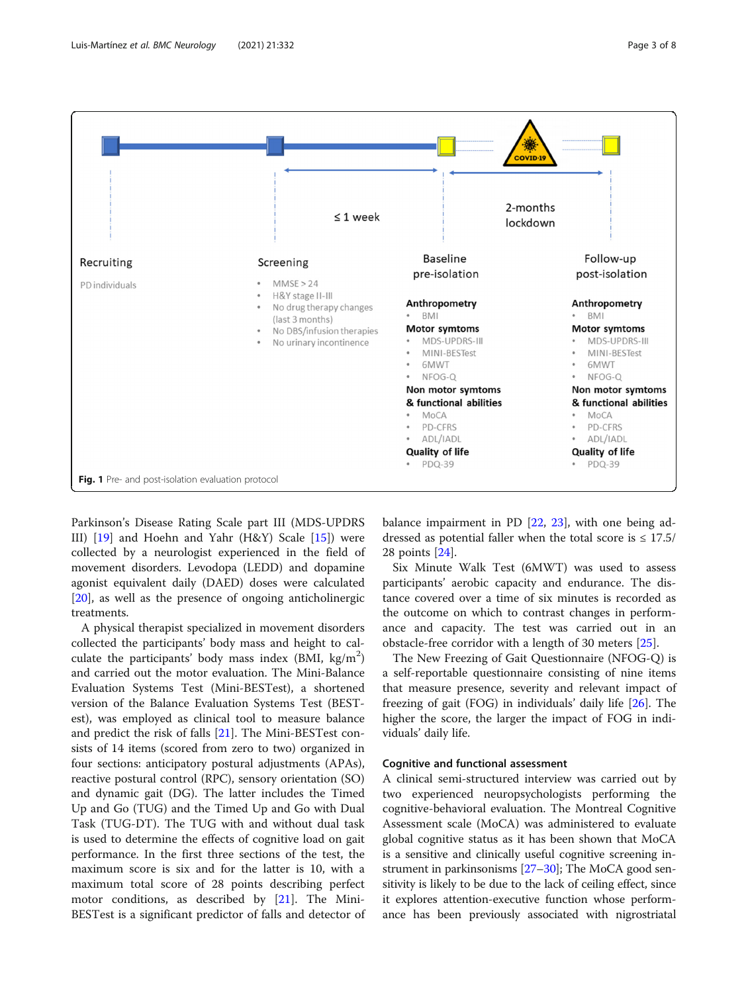<span id="page-2-0"></span>

Parkinson's Disease Rating Scale part III (MDS-UPDRS III) [\[19](#page-6-0)] and Hoehn and Yahr (H&Y) Scale [[15](#page-6-0)]) were collected by a neurologist experienced in the field of movement disorders. Levodopa (LEDD) and dopamine agonist equivalent daily (DAED) doses were calculated [[20\]](#page-6-0), as well as the presence of ongoing anticholinergic treatments.

A physical therapist specialized in movement disorders collected the participants' body mass and height to calculate the participants' body mass index (BMI,  $\text{kg/m}^2$ ) and carried out the motor evaluation. The Mini-Balance Evaluation Systems Test (Mini-BESTest), a shortened version of the Balance Evaluation Systems Test (BESTest), was employed as clinical tool to measure balance and predict the risk of falls [[21\]](#page-6-0). The Mini-BESTest consists of 14 items (scored from zero to two) organized in four sections: anticipatory postural adjustments (APAs), reactive postural control (RPC), sensory orientation (SO) and dynamic gait (DG). The latter includes the Timed Up and Go (TUG) and the Timed Up and Go with Dual Task (TUG-DT). The TUG with and without dual task is used to determine the effects of cognitive load on gait performance. In the first three sections of the test, the maximum score is six and for the latter is 10, with a maximum total score of 28 points describing perfect motor conditions, as described by [[21\]](#page-6-0). The Mini-BESTest is a significant predictor of falls and detector of balance impairment in PD [\[22,](#page-6-0) [23\]](#page-6-0), with one being addressed as potential faller when the total score is  $\leq 17.5/$ 28 points [[24\]](#page-6-0).

Six Minute Walk Test (6MWT) was used to assess participants' aerobic capacity and endurance. The distance covered over a time of six minutes is recorded as the outcome on which to contrast changes in performance and capacity. The test was carried out in an obstacle-free corridor with a length of 30 meters [[25\]](#page-7-0).

The New Freezing of Gait Questionnaire (NFOG-Q) is a self-reportable questionnaire consisting of nine items that measure presence, severity and relevant impact of freezing of gait (FOG) in individuals' daily life [[26](#page-7-0)]. The higher the score, the larger the impact of FOG in individuals' daily life.

#### Cognitive and functional assessment

A clinical semi-structured interview was carried out by two experienced neuropsychologists performing the cognitive-behavioral evaluation. The Montreal Cognitive Assessment scale (MoCA) was administered to evaluate global cognitive status as it has been shown that MoCA is a sensitive and clinically useful cognitive screening instrument in parkinsonisms [[27](#page-7-0)–[30\]](#page-7-0); The MoCA good sensitivity is likely to be due to the lack of ceiling effect, since it explores attention-executive function whose performance has been previously associated with nigrostriatal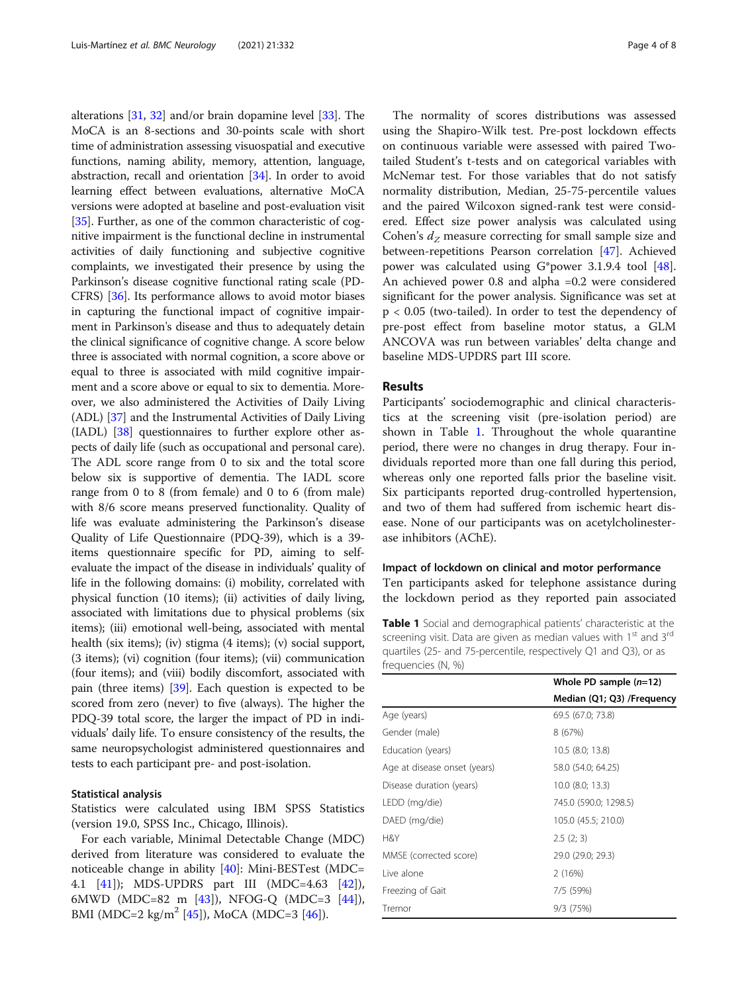alterations [[31](#page-7-0), [32](#page-7-0)] and/or brain dopamine level [[33](#page-7-0)]. The MoCA is an 8-sections and 30-points scale with short time of administration assessing visuospatial and executive functions, naming ability, memory, attention, language, abstraction, recall and orientation [\[34\]](#page-7-0). In order to avoid learning effect between evaluations, alternative MoCA versions were adopted at baseline and post-evaluation visit [[35](#page-7-0)]. Further, as one of the common characteristic of cognitive impairment is the functional decline in instrumental activities of daily functioning and subjective cognitive complaints, we investigated their presence by using the Parkinson's disease cognitive functional rating scale (PD-CFRS) [[36](#page-7-0)]. Its performance allows to avoid motor biases in capturing the functional impact of cognitive impairment in Parkinson's disease and thus to adequately detain the clinical significance of cognitive change. A score below three is associated with normal cognition, a score above or equal to three is associated with mild cognitive impairment and a score above or equal to six to dementia. Moreover, we also administered the Activities of Daily Living (ADL) [\[37\]](#page-7-0) and the Instrumental Activities of Daily Living (IADL) [\[38\]](#page-7-0) questionnaires to further explore other aspects of daily life (such as occupational and personal care). The ADL score range from 0 to six and the total score below six is supportive of dementia. The IADL score range from 0 to 8 (from female) and 0 to 6 (from male) with 8/6 score means preserved functionality. Quality of life was evaluate administering the Parkinson's disease Quality of Life Questionnaire (PDQ-39), which is a 39 items questionnaire specific for PD, aiming to selfevaluate the impact of the disease in individuals' quality of life in the following domains: (i) mobility, correlated with physical function (10 items); (ii) activities of daily living, associated with limitations due to physical problems (six items); (iii) emotional well-being, associated with mental health (six items); (iv) stigma (4 items); (v) social support, (3 items); (vi) cognition (four items); (vii) communication (four items); and (viii) bodily discomfort, associated with pain (three items) [\[39\]](#page-7-0). Each question is expected to be scored from zero (never) to five (always). The higher the PDQ-39 total score, the larger the impact of PD in individuals' daily life. To ensure consistency of the results, the same neuropsychologist administered questionnaires and tests to each participant pre- and post-isolation.

#### Statistical analysis

Statistics were calculated using IBM SPSS Statistics (version 19.0, SPSS Inc., Chicago, Illinois).

For each variable, Minimal Detectable Change (MDC) derived from literature was considered to evaluate the noticeable change in ability  $[40]$  $[40]$ : Mini-BESTest (MDC= 4.1 [[41\]](#page-7-0)); MDS-UPDRS part III (MDC=4.63 [\[42](#page-7-0)]), 6MWD (MDC=82 m [[43\]](#page-7-0)), NFOG-Q (MDC=3 [\[44](#page-7-0)]), BMI (MDC=2 kg/m<sup>2</sup> [[45](#page-7-0)]), MoCA (MDC=3 [\[46](#page-7-0)]).

The normality of scores distributions was assessed using the Shapiro-Wilk test. Pre-post lockdown effects on continuous variable were assessed with paired Twotailed Student's t-tests and on categorical variables with McNemar test. For those variables that do not satisfy normality distribution, Median, 25-75-percentile values and the paired Wilcoxon signed-rank test were considered. Effect size power analysis was calculated using Cohen's  $d_z$  measure correcting for small sample size and between-repetitions Pearson correlation [[47](#page-7-0)]. Achieved power was calculated using G\*power 3.1.9.4 tool [\[48](#page-7-0)]. An achieved power 0.8 and alpha =0.2 were considered significant for the power analysis. Significance was set at p < 0.05 (two-tailed). In order to test the dependency of pre-post effect from baseline motor status, a GLM ANCOVA was run between variables' delta change and baseline MDS-UPDRS part III score.

#### Results

Participants' sociodemographic and clinical characteristics at the screening visit (pre-isolation period) are shown in Table 1. Throughout the whole quarantine period, there were no changes in drug therapy. Four individuals reported more than one fall during this period, whereas only one reported falls prior the baseline visit. Six participants reported drug-controlled hypertension, and two of them had suffered from ischemic heart disease. None of our participants was on acetylcholinesterase inhibitors (AChE).

Impact of lockdown on clinical and motor performance Ten participants asked for telephone assistance during the lockdown period as they reported pain associated

Table 1 Social and demographical patients' characteristic at the screening visit. Data are given as median values with  $1<sup>st</sup>$  and  $3<sup>rd</sup>$ quartiles (25- and 75-percentile, respectively Q1 and Q3), or as frequencies (N, %)

|                              | Whole PD sample $(n=12)$   |
|------------------------------|----------------------------|
|                              | Median (Q1; Q3) /Frequency |
| Age (years)                  | 69.5 (67.0; 73.8)          |
| Gender (male)                | 8 (67%)                    |
| Education (years)            | $10.5$ (8.0; 13.8)         |
| Age at disease onset (years) | 58.0 (54.0; 64.25)         |
| Disease duration (years)     | $10.0$ (8.0; 13.3)         |
| LEDD (mg/die)                | 745.0 (590.0; 1298.5)      |
| DAED (mg/die)                | 105.0 (45.5; 210.0)        |
| H&Y                          | 2.5(2; 3)                  |
| MMSE (corrected score)       | 29.0 (29.0; 29.3)          |
| Live alone                   | 2(16%)                     |
| Freezing of Gait             | 7/5 (59%)                  |
| Tremor                       | 9/3 (75%)                  |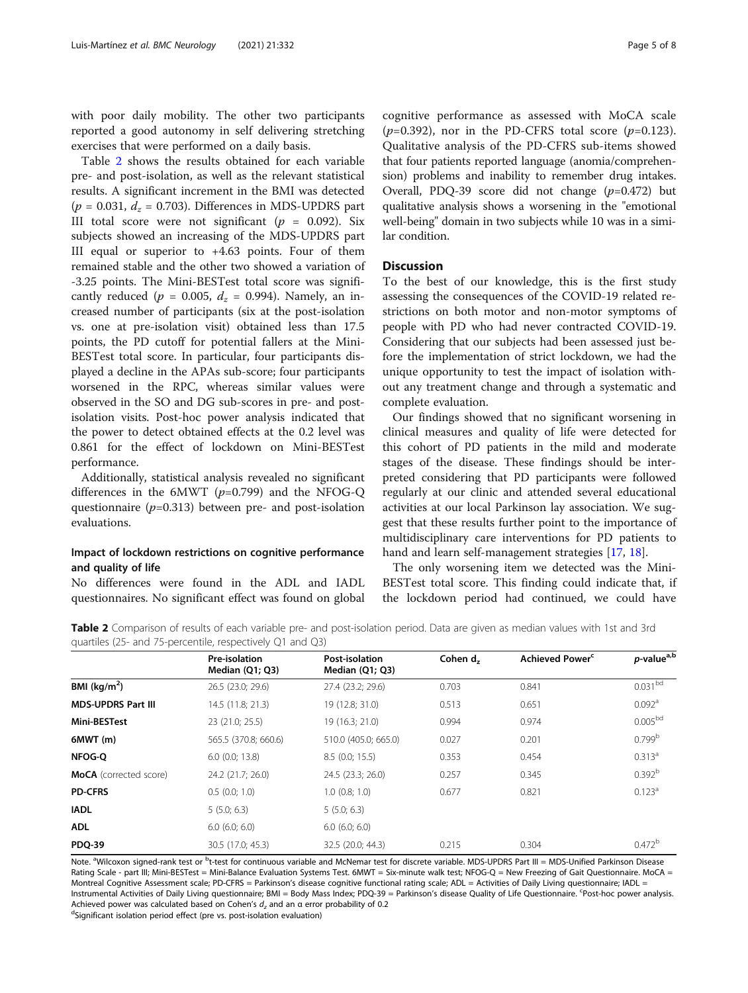with poor daily mobility. The other two participants reported a good autonomy in self delivering stretching exercises that were performed on a daily basis.

Table 2 shows the results obtained for each variable pre- and post-isolation, as well as the relevant statistical results. A significant increment in the BMI was detected  $(p = 0.031, d_z = 0.703)$ . Differences in MDS-UPDRS part III total score were not significant ( $p = 0.092$ ). Six subjects showed an increasing of the MDS-UPDRS part III equal or superior to +4.63 points. Four of them remained stable and the other two showed a variation of -3.25 points. The Mini-BESTest total score was significantly reduced ( $p = 0.005$ ,  $d_z = 0.994$ ). Namely, an increased number of participants (six at the post-isolation vs. one at pre-isolation visit) obtained less than 17.5 points, the PD cutoff for potential fallers at the Mini-BESTest total score. In particular, four participants displayed a decline in the APAs sub-score; four participants worsened in the RPC, whereas similar values were observed in the SO and DG sub-scores in pre- and postisolation visits. Post-hoc power analysis indicated that the power to detect obtained effects at the 0.2 level was 0.861 for the effect of lockdown on Mini-BESTest performance.

Additionally, statistical analysis revealed no significant differences in the 6MWT ( $p=0.799$ ) and the NFOG-Q questionnaire  $(p=0.313)$  between pre- and post-isolation evaluations.

# Impact of lockdown restrictions on cognitive performance and quality of life

No differences were found in the ADL and IADL questionnaires. No significant effect was found on global

cognitive performance as assessed with MoCA scale  $(p=0.392)$ , nor in the PD-CFRS total score  $(p=0.123)$ . Qualitative analysis of the PD-CFRS sub-items showed that four patients reported language (anomia/comprehension) problems and inability to remember drug intakes. Overall, PDQ-39 score did not change  $(p=0.472)$  but qualitative analysis shows a worsening in the "emotional well-being" domain in two subjects while 10 was in a similar condition.

# Discussion

To the best of our knowledge, this is the first study assessing the consequences of the COVID-19 related restrictions on both motor and non-motor symptoms of people with PD who had never contracted COVID-19. Considering that our subjects had been assessed just before the implementation of strict lockdown, we had the unique opportunity to test the impact of isolation without any treatment change and through a systematic and complete evaluation.

Our findings showed that no significant worsening in clinical measures and quality of life were detected for this cohort of PD patients in the mild and moderate stages of the disease. These findings should be interpreted considering that PD participants were followed regularly at our clinic and attended several educational activities at our local Parkinson lay association. We suggest that these results further point to the importance of multidisciplinary care interventions for PD patients to hand and learn self-management strategies [\[17](#page-6-0), [18](#page-6-0)].

The only worsening item we detected was the Mini-BESTest total score. This finding could indicate that, if the lockdown period had continued, we could have

Table 2 Comparison of results of each variable pre- and post-isolation period. Data are given as median values with 1st and 3rd quartiles (25- and 75-percentile, respectively Q1 and Q3)

| Pre-isolation<br>Median $(Q1; Q3)$ | Post-isolation<br>Median $(Q1; Q3)$ | Cohen d <sub>z</sub> | Achieved Power <sup>c</sup> | p-value <sup>a,b</sup> |  |
|------------------------------------|-------------------------------------|----------------------|-----------------------------|------------------------|--|
| 26.5 (23.0; 29.6)                  | 27.4 (23.2; 29.6)                   | 0.703                | 0.841                       | 0.031 <sup>bd</sup>    |  |
| 14.5 (11.8; 21.3)                  | 19 (12.8; 31.0)                     | 0.513                | 0.651                       | $0.092$ <sup>a</sup>   |  |
| 23 (21.0; 25.5)                    | 19 (16.3; 21.0)                     | 0.994                | 0.974                       | 0.005 <sup>bd</sup>    |  |
| 565.5 (370.8; 660.6)               | 510.0 (405.0; 665.0)                | 0.027                | 0.201                       | 0.799 <sup>b</sup>     |  |
| $6.0$ (0.0; 13.8)                  | 8.5(0.0; 15.5)                      | 0.353                | 0.454                       | $0.313^{a}$            |  |
| 24.2 (21.7; 26.0)                  | 24.5 (23.3; 26.0)                   | 0.257                | 0.345                       | 0.392 <sup>b</sup>     |  |
| 0.5(0.0; 1.0)                      | $1.0$ (0.8; 1.0)                    | 0.677                | 0.821                       | $0.123^a$              |  |
| 5(5.0; 6.3)                        | 5(5.0; 6.3)                         |                      |                             |                        |  |
| 6.0(6.0; 6.0)                      | $6.0$ $(6.0; 6.0)$                  |                      |                             |                        |  |
| 30.5 (17.0; 45.3)                  | 32.5 (20.0; 44.3)                   | 0.215                | 0.304                       | $0.472^b$              |  |
|                                    |                                     |                      |                             |                        |  |

Note. <sup>a</sup>Wilcoxon signed-rank test or <sup>b</sup>t-test for continuous variable and McNemar test for discrete variable. MDS-UPDRS Part III = MDS-Unified Parkinson Disease Rating Scale - part III; Mini-BESTest = Mini-Balance Evaluation Systems Test. 6MWT = Six-minute walk test; NFOG-Q = New Freezing of Gait Questionnaire. MoCA = Montreal Cognitive Assessment scale; PD-CFRS = Parkinson's disease cognitive functional rating scale; ADL = Activities of Daily Living questionnaire; IADL = Instrumental Activities of Daily Living questionnaire; BMI = Body Mass Index; PDQ-39 = Parkinson's disease Quality of Life Questionnaire. Post-hoc power analysis. Achieved power was calculated based on Cohen's  $d<sub>z</sub>$  and an  $\alpha$  error probability of 0.2

dSignificant isolation period effect (pre vs. post-isolation evaluation)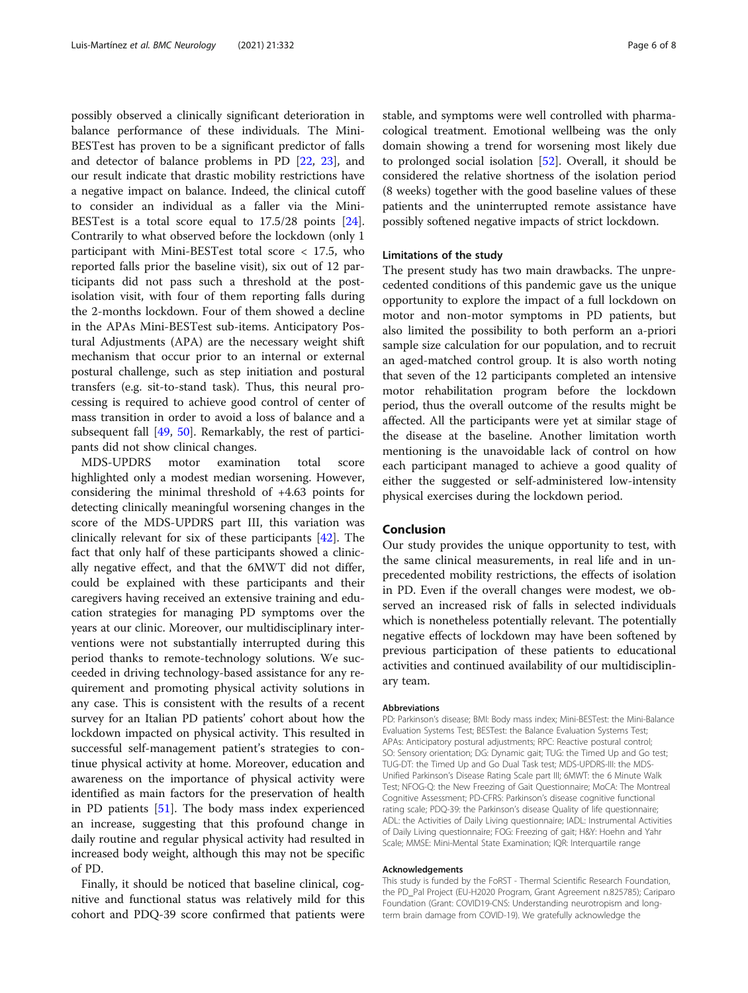possibly observed a clinically significant deterioration in balance performance of these individuals. The Mini-BESTest has proven to be a significant predictor of falls and detector of balance problems in PD [[22,](#page-6-0) [23](#page-6-0)], and our result indicate that drastic mobility restrictions have a negative impact on balance. Indeed, the clinical cutoff to consider an individual as a faller via the Mini-BESTest is a total score equal to 17.5/28 points [\[24](#page-6-0)]. Contrarily to what observed before the lockdown (only 1 participant with Mini-BESTest total score < 17.5, who reported falls prior the baseline visit), six out of 12 participants did not pass such a threshold at the postisolation visit, with four of them reporting falls during the 2-months lockdown. Four of them showed a decline in the APAs Mini-BESTest sub-items. Anticipatory Postural Adjustments (APA) are the necessary weight shift mechanism that occur prior to an internal or external postural challenge, such as step initiation and postural transfers (e.g. sit-to-stand task). Thus, this neural processing is required to achieve good control of center of mass transition in order to avoid a loss of balance and a subsequent fall [[49](#page-7-0), [50](#page-7-0)]. Remarkably, the rest of participants did not show clinical changes.

MDS-UPDRS motor examination total score highlighted only a modest median worsening. However, considering the minimal threshold of +4.63 points for detecting clinically meaningful worsening changes in the score of the MDS-UPDRS part III, this variation was clinically relevant for six of these participants [\[42](#page-7-0)]. The fact that only half of these participants showed a clinically negative effect, and that the 6MWT did not differ, could be explained with these participants and their caregivers having received an extensive training and education strategies for managing PD symptoms over the years at our clinic. Moreover, our multidisciplinary interventions were not substantially interrupted during this period thanks to remote-technology solutions. We succeeded in driving technology-based assistance for any requirement and promoting physical activity solutions in any case. This is consistent with the results of a recent survey for an Italian PD patients' cohort about how the lockdown impacted on physical activity. This resulted in successful self-management patient's strategies to continue physical activity at home. Moreover, education and awareness on the importance of physical activity were identified as main factors for the preservation of health in PD patients [[51\]](#page-7-0). The body mass index experienced an increase, suggesting that this profound change in daily routine and regular physical activity had resulted in increased body weight, although this may not be specific of PD.

Finally, it should be noticed that baseline clinical, cognitive and functional status was relatively mild for this cohort and PDQ-39 score confirmed that patients were stable, and symptoms were well controlled with pharmacological treatment. Emotional wellbeing was the only domain showing a trend for worsening most likely due to prolonged social isolation [\[52\]](#page-7-0). Overall, it should be considered the relative shortness of the isolation period (8 weeks) together with the good baseline values of these patients and the uninterrupted remote assistance have possibly softened negative impacts of strict lockdown.

#### Limitations of the study

The present study has two main drawbacks. The unprecedented conditions of this pandemic gave us the unique opportunity to explore the impact of a full lockdown on motor and non-motor symptoms in PD patients, but also limited the possibility to both perform an a-priori sample size calculation for our population, and to recruit an aged-matched control group. It is also worth noting that seven of the 12 participants completed an intensive motor rehabilitation program before the lockdown period, thus the overall outcome of the results might be affected. All the participants were yet at similar stage of the disease at the baseline. Another limitation worth mentioning is the unavoidable lack of control on how each participant managed to achieve a good quality of either the suggested or self-administered low-intensity physical exercises during the lockdown period.

#### Conclusion

Our study provides the unique opportunity to test, with the same clinical measurements, in real life and in unprecedented mobility restrictions, the effects of isolation in PD. Even if the overall changes were modest, we observed an increased risk of falls in selected individuals which is nonetheless potentially relevant. The potentially negative effects of lockdown may have been softened by previous participation of these patients to educational activities and continued availability of our multidisciplinary team.

#### Abbreviations

PD: Parkinson's disease; BMI: Body mass index; Mini-BESTest: the Mini-Balance Evaluation Systems Test; BESTest: the Balance Evaluation Systems Test; APAs: Anticipatory postural adjustments; RPC: Reactive postural control; SO: Sensory orientation; DG: Dynamic gait; TUG: the Timed Up and Go test; TUG-DT: the Timed Up and Go Dual Task test; MDS-UPDRS-III: the MDS-Unified Parkinson's Disease Rating Scale part III; 6MWT: the 6 Minute Walk Test; NFOG-Q: the New Freezing of Gait Questionnaire; MoCA: The Montreal Cognitive Assessment; PD-CFRS: Parkinson's disease cognitive functional rating scale; PDQ-39: the Parkinson's disease Quality of life questionnaire; ADL: the Activities of Daily Living questionnaire; IADL: Instrumental Activities of Daily Living questionnaire; FOG: Freezing of gait; H&Y: Hoehn and Yahr Scale; MMSE: Mini-Mental State Examination; IQR: Interquartile range

#### Acknowledgements

This study is funded by the FoRST - Thermal Scientific Research Foundation, the PD\_Pal Project (EU-H2020 Program, Grant Agreement n.825785); Cariparo Foundation (Grant: COVID19-CNS: Understanding neurotropism and longterm brain damage from COVID-19). We gratefully acknowledge the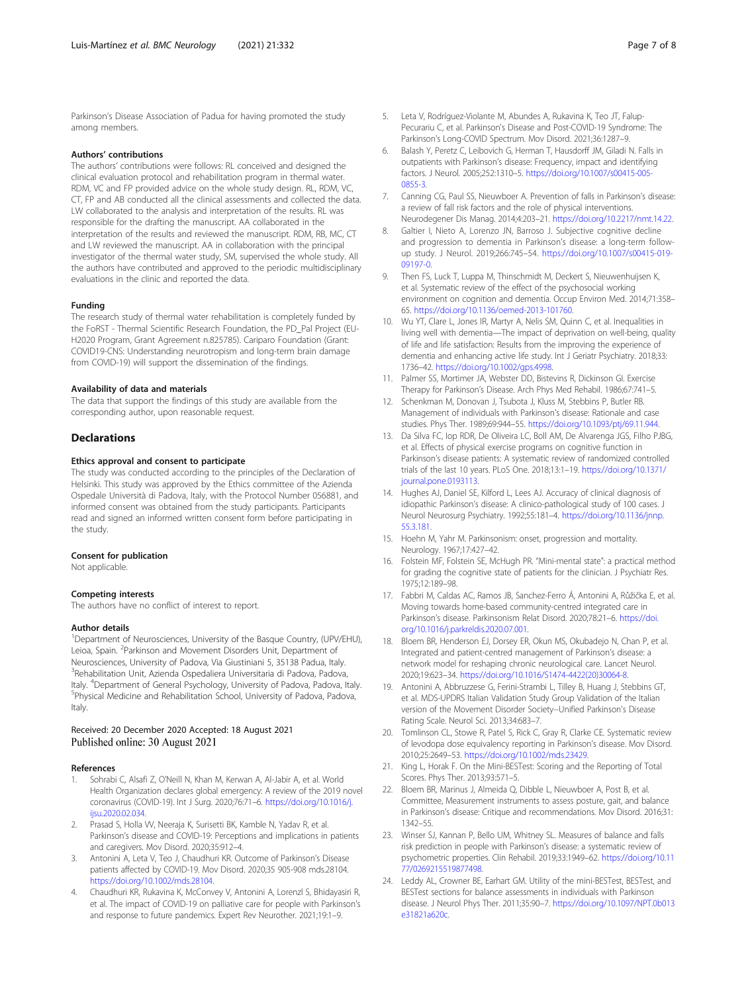#### <span id="page-6-0"></span>Authors' contributions

The authors' contributions were follows: RL conceived and designed the clinical evaluation protocol and rehabilitation program in thermal water. RDM, VC and FP provided advice on the whole study design. RL, RDM, VC, CT, FP and AB conducted all the clinical assessments and collected the data. LW collaborated to the analysis and interpretation of the results. RL was responsible for the drafting the manuscript. AA collaborated in the interpretation of the results and reviewed the manuscript. RDM, RB, MC, CT and LW reviewed the manuscript. AA in collaboration with the principal investigator of the thermal water study, SM, supervised the whole study. All the authors have contributed and approved to the periodic multidisciplinary evaluations in the clinic and reported the data.

#### Funding

The research study of thermal water rehabilitation is completely funded by the FoRST - Thermal Scientific Research Foundation, the PD\_Pal Project (EU-H2020 Program, Grant Agreement n.825785). Cariparo Foundation (Grant: COVID19-CNS: Understanding neurotropism and long-term brain damage from COVID-19) will support the dissemination of the findings.

#### Availability of data and materials

The data that support the findings of this study are available from the corresponding author, upon reasonable request.

#### **Declarations**

#### Ethics approval and consent to participate

The study was conducted according to the principles of the Declaration of Helsinki. This study was approved by the Ethics committee of the Azienda Ospedale Università di Padova, Italy, with the Protocol Number 056881, and informed consent was obtained from the study participants. Participants read and signed an informed written consent form before participating in the study.

#### Consent for publication

Not applicable.

#### Competing interests

The authors have no conflict of interest to report.

#### Author details

<sup>1</sup>Department of Neurosciences, University of the Basque Country, (UPV/EHU), Leioa, Spain. <sup>2</sup>Parkinson and Movement Disorders Unit, Department of Neurosciences, University of Padova, Via Giustiniani 5, 35138 Padua, Italy. <sup>3</sup> Rehabilitation Unit, Azienda Ospedaliera Universitaria di Padova, Padova, Italy. <sup>4</sup> Department of General Psychology, University of Padova, Padova, Italy.<br><sup>5</sup> Physical Modicine and Pobabilitation School. University of Padova, Padova. <sup>5</sup>Physical Medicine and Rehabilitation School, University of Padova, Padova, Italy.

#### Received: 20 December 2020 Accepted: 18 August 2021 Published online: 30 August 2021

#### References

- 1. Sohrabi C, Alsafi Z, O'Neill N, Khan M, Kerwan A, Al-Jabir A, et al. World Health Organization declares global emergency: A review of the 2019 novel coronavirus (COVID-19). Int J Surg. 2020;76:71–6. [https://doi.org/10.1016/j.](https://doi.org/10.1016/j.ijsu.2020.02.034) [ijsu.2020.02.034](https://doi.org/10.1016/j.ijsu.2020.02.034)
- 2. Prasad S, Holla VV, Neeraja K, Surisetti BK, Kamble N, Yadav R, et al. Parkinson's disease and COVID-19: Perceptions and implications in patients and caregivers. Mov Disord. 2020;35:912–4.
- 3. Antonini A, Leta V, Teo J, Chaudhuri KR. Outcome of Parkinson's Disease patients affected by COVID-19. Mov Disord. 2020;35 905-908 mds.28104. <https://doi.org/10.1002/mds.28104>.
- 4. Chaudhuri KR, Rukavina K, McConvey V, Antonini A, Lorenzl S, Bhidayasiri R, et al. The impact of COVID-19 on palliative care for people with Parkinson's and response to future pandemics. Expert Rev Neurother. 2021;19:1–9.
- Leta V, Rodríguez-Violante M, Abundes A, Rukavina K, Teo JT, Falup-Pecurariu C, et al. Parkinson's Disease and Post-COVID-19 Syndrome: The Parkinson's Long-COVID Spectrum. Mov Disord. 2021;36:1287–9.
- 6. Balash Y, Peretz C, Leibovich G, Herman T, Hausdorff JM, Giladi N. Falls in outpatients with Parkinson's disease: Frequency, impact and identifying factors. J Neurol. 2005;252:1310–5. [https://doi.org/10.1007/s00415-005-](https://doi.org/10.1007/s00415-005-0855-3) [0855-3.](https://doi.org/10.1007/s00415-005-0855-3)
- 7. Canning CG, Paul SS, Nieuwboer A. Prevention of falls in Parkinson's disease: a review of fall risk factors and the role of physical interventions. Neurodegener Dis Manag. 2014;4:203–21. <https://doi.org/10.2217/nmt.14.22>.
- 8. Galtier I, Nieto A, Lorenzo JN, Barroso J. Subjective cognitive decline and progression to dementia in Parkinson's disease: a long-term followup study. J Neurol. 2019;266:745–54. [https://doi.org/10.1007/s00415-019-](https://doi.org/10.1007/s00415-019-09197-0) [09197-0.](https://doi.org/10.1007/s00415-019-09197-0)
- 9. Then FS, Luck T, Luppa M, Thinschmidt M, Deckert S, Nieuwenhuijsen K, et al. Systematic review of the effect of the psychosocial working environment on cognition and dementia. Occup Environ Med. 2014;71:358– 65. [https://doi.org/10.1136/oemed-2013-101760.](https://doi.org/10.1136/oemed-2013-101760)
- 10. Wu YT, Clare L, Jones IR, Martyr A, Nelis SM, Quinn C, et al. Inequalities in living well with dementia—The impact of deprivation on well-being, quality of life and life satisfaction: Results from the improving the experience of dementia and enhancing active life study. Int J Geriatr Psychiatry. 2018;33: 1736–42. <https://doi.org/10.1002/gps.4998>.
- 11. Palmer SS, Mortimer JA, Webster DD, Bistevins R, Dickinson GI. Exercise Therapy for Parkinson's Disease. Arch Phys Med Rehabil. 1986;67:741–5.
- 12. Schenkman M, Donovan J, Tsubota J, Kluss M, Stebbins P, Butler RB. Management of individuals with Parkinson's disease: Rationale and case studies. Phys Ther. 1989;69:944–55. <https://doi.org/10.1093/ptj/69.11.944>.
- 13. Da Silva FC, Iop RDR, De Oliveira LC, Boll AM, De Alvarenga JGS, Filho PJBG, et al. Effects of physical exercise programs on cognitive function in Parkinson's disease patients: A systematic review of randomized controlled trials of the last 10 years. PLoS One. 2018;13:1–19. [https://doi.org/10.1371/](https://doi.org/10.1371/journal.pone.0193113) [journal.pone.0193113](https://doi.org/10.1371/journal.pone.0193113).
- 14. Hughes AJ, Daniel SE, Kilford L, Lees AJ. Accuracy of clinical diagnosis of idiopathic Parkinson's disease: A clinico-pathological study of 100 cases. J Neurol Neurosurg Psychiatry. 1992;55:181–4. [https://doi.org/10.1136/jnnp.](https://doi.org/10.1136/jnnp.55.3.181) [55.3.181.](https://doi.org/10.1136/jnnp.55.3.181)
- 15. Hoehn M, Yahr M. Parkinsonism: onset, progression and mortality. Neurology. 1967;17:427–42.
- 16. Folstein MF, Folstein SE, McHugh PR. "Mini-mental state": a practical method for grading the cognitive state of patients for the clinician. J Psychiatr Res. 1975;12:189–98.
- 17. Fabbri M, Caldas AC, Ramos JB, Sanchez-Ferro Á, Antonini A, Růžička E, et al. Moving towards home-based community-centred integrated care in Parkinson's disease. Parkinsonism Relat Disord. 2020;78:21–6. [https://doi.](https://doi.org/10.1016/j.parkreldis.2020.07.001) [org/10.1016/j.parkreldis.2020.07.001.](https://doi.org/10.1016/j.parkreldis.2020.07.001)
- 18. Bloem BR, Henderson EJ, Dorsey ER, Okun MS, Okubadejo N, Chan P, et al. Integrated and patient-centred management of Parkinson's disease: a network model for reshaping chronic neurological care. Lancet Neurol. 2020;19:623–34. [https://doi.org/10.1016/S1474-4422\(20\)30064-8](https://doi.org/10.1016/S1474-4422(20)30064-8).
- 19. Antonini A, Abbruzzese G, Ferini-Strambi L, Tilley B, Huang J, Stebbins GT, et al. MDS-UPDRS Italian Validation Study Group Validation of the Italian version of the Movement Disorder Society--Unified Parkinson's Disease Rating Scale. Neurol Sci. 2013;34:683–7.
- 20. Tomlinson CL, Stowe R, Patel S, Rick C, Gray R, Clarke CE. Systematic review of levodopa dose equivalency reporting in Parkinson's disease. Mov Disord. 2010;25:2649–53. [https://doi.org/10.1002/mds.23429.](https://doi.org/10.1002/mds.23429)
- 21. King L, Horak F. On the Mini-BESTest: Scoring and the Reporting of Total Scores. Phys Ther. 2013;93:571–5.
- 22. Bloem BR, Marinus J, Almeida Q, Dibble L, Nieuwboer A, Post B, et al. Committee, Measurement instruments to assess posture, gait, and balance in Parkinson's disease: Critique and recommendations. Mov Disord. 2016;31: 1342–55.
- 23. Winser SJ, Kannan P, Bello UM, Whitney SL. Measures of balance and falls risk prediction in people with Parkinson's disease: a systematic review of psychometric properties. Clin Rehabil. 2019;33:1949–62. [https://doi.org/10.11](https://doi.org/10.1177/0269215519877498) [77/0269215519877498.](https://doi.org/10.1177/0269215519877498)
- 24. Leddy AL, Crowner BE, Earhart GM. Utility of the mini-BESTest, BESTest, and BESTest sections for balance assessments in individuals with Parkinson disease. J Neurol Phys Ther. 2011;35:90–7. [https://doi.org/10.1097/NPT.0b013](https://doi.org/10.1097/NPT.0b013e31821a620c) [e31821a620c.](https://doi.org/10.1097/NPT.0b013e31821a620c)